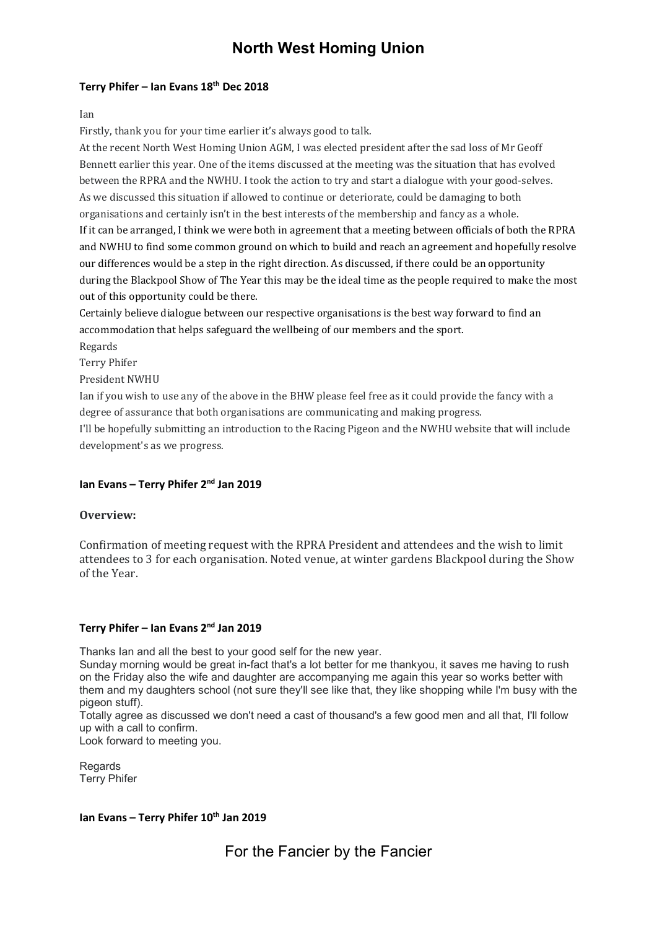# North West Homing Union

## Terry Phifer – Ian Evans  $18<sup>th</sup>$  Dec 2018

Ian

Firstly, thank you for your time earlier it's always good to talk.

At the recent North West Homing Union AGM, I was elected president after the sad loss of Mr Geoff Bennett earlier this year. One of the items discussed at the meeting was the situation that has evolved between the RPRA and the NWHU. I took the action to try and start a dialogue with your good-selves. As we discussed this situation if allowed to continue or deteriorate, could be damaging to both organisations and certainly isn't in the best interests of the membership and fancy as a whole. If it can be arranged, I think we were both in agreement that a meeting between officials of both the RPRA and NWHU to find some common ground on which to build and reach an agreement and hopefully resolve our differences would be a step in the right direction. As discussed, if there could be an opportunity during the Blackpool Show of The Year this may be the ideal time as the people required to make the most out of this opportunity could be there.

Certainly believe dialogue between our respective organisations is the best way forward to find an accommodation that helps safeguard the wellbeing of our members and the sport.

Regards

Terry Phifer

President NWHU

Ian if you wish to use any of the above in the BHW please feel free as it could provide the fancy with a degree of assurance that both organisations are communicating and making progress.

I'll be hopefully submitting an introduction to the Racing Pigeon and the NWHU website that will include development's as we progress.

## Ian Evans - Terry Phifer 2<sup>nd</sup> Jan 2019

## Overview:

Confirmation of meeting request with the RPRA President and attendees and the wish to limit attendees to 3 for each organisation. Noted venue, at winter gardens Blackpool during the Show of the Year.

## Terry Phifer – Ian Evans  $2<sup>nd</sup>$  Jan 2019

Thanks Ian and all the best to your good self for the new year.

Sunday morning would be great in-fact that's a lot better for me thankyou, it saves me having to rush on the Friday also the wife and daughter are accompanying me again this year so works better with them and my daughters school (not sure they'll see like that, they like shopping while I'm busy with the pigeon stuff).

Totally agree as discussed we don't need a cast of thousand's a few good men and all that, I'll follow up with a call to confirm.

Look forward to meeting you.

Regards Terry Phifer

## Ian Evans – Terry Phifer  $10^{th}$  Jan 2019